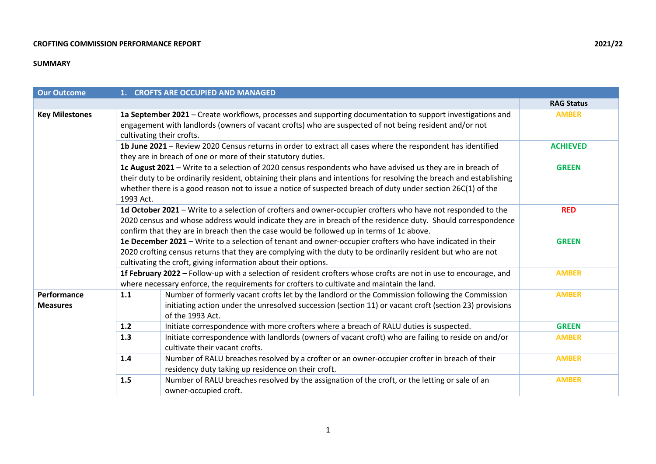## **SUMMARY**

| <b>Our Outcome</b>             | 1. CROFTS ARE OCCUPIED AND MANAGED                                                                                                                                                                             |                                                                                                                                                                                                                                                                                                                                                    |                   |  |  |  |  |  |
|--------------------------------|----------------------------------------------------------------------------------------------------------------------------------------------------------------------------------------------------------------|----------------------------------------------------------------------------------------------------------------------------------------------------------------------------------------------------------------------------------------------------------------------------------------------------------------------------------------------------|-------------------|--|--|--|--|--|
|                                |                                                                                                                                                                                                                |                                                                                                                                                                                                                                                                                                                                                    | <b>RAG Status</b> |  |  |  |  |  |
| <b>Key Milestones</b>          |                                                                                                                                                                                                                | 1a September 2021 - Create workflows, processes and supporting documentation to support investigations and<br><b>AMBER</b><br>engagement with landlords (owners of vacant crofts) who are suspected of not being resident and/or not<br>cultivating their crofts.                                                                                  |                   |  |  |  |  |  |
|                                |                                                                                                                                                                                                                | 1b June 2021 - Review 2020 Census returns in order to extract all cases where the respondent has identified<br>they are in breach of one or more of their statutory duties.                                                                                                                                                                        | <b>ACHIEVED</b>   |  |  |  |  |  |
|                                | 1993 Act.                                                                                                                                                                                                      | 1c August 2021 - Write to a selection of 2020 census respondents who have advised us they are in breach of<br>their duty to be ordinarily resident, obtaining their plans and intentions for resolving the breach and establishing<br>whether there is a good reason not to issue a notice of suspected breach of duty under section 26C(1) of the | <b>GREEN</b>      |  |  |  |  |  |
|                                |                                                                                                                                                                                                                | 1d October 2021 - Write to a selection of crofters and owner-occupier crofters who have not responded to the<br><b>RED</b><br>2020 census and whose address would indicate they are in breach of the residence duty. Should correspondence<br>confirm that they are in breach then the case would be followed up in terms of 1c above.             |                   |  |  |  |  |  |
|                                |                                                                                                                                                                                                                | 1e December 2021 - Write to a selection of tenant and owner-occupier crofters who have indicated in their<br><b>GREEN</b><br>2020 crofting census returns that they are complying with the duty to be ordinarily resident but who are not<br>cultivating the croft, giving information about their options.                                        |                   |  |  |  |  |  |
|                                | 1f February 2022 - Follow-up with a selection of resident crofters whose crofts are not in use to encourage, and<br>where necessary enforce, the requirements for crofters to cultivate and maintain the land. | <b>AMBER</b>                                                                                                                                                                                                                                                                                                                                       |                   |  |  |  |  |  |
| Performance<br><b>Measures</b> | 1.1                                                                                                                                                                                                            | Number of formerly vacant crofts let by the landlord or the Commission following the Commission<br>initiating action under the unresolved succession (section 11) or vacant croft (section 23) provisions<br>of the 1993 Act.                                                                                                                      | <b>AMBER</b>      |  |  |  |  |  |
|                                | $1.2$                                                                                                                                                                                                          | Initiate correspondence with more crofters where a breach of RALU duties is suspected.                                                                                                                                                                                                                                                             | <b>GREEN</b>      |  |  |  |  |  |
|                                | 1.3                                                                                                                                                                                                            | Initiate correspondence with landlords (owners of vacant croft) who are failing to reside on and/or<br>cultivate their vacant crofts.                                                                                                                                                                                                              | <b>AMBER</b>      |  |  |  |  |  |
|                                | 1.4                                                                                                                                                                                                            | Number of RALU breaches resolved by a crofter or an owner-occupier crofter in breach of their<br>residency duty taking up residence on their croft.                                                                                                                                                                                                | <b>AMBER</b>      |  |  |  |  |  |
|                                | 1.5                                                                                                                                                                                                            | Number of RALU breaches resolved by the assignation of the croft, or the letting or sale of an<br>owner-occupied croft.                                                                                                                                                                                                                            | <b>AMBER</b>      |  |  |  |  |  |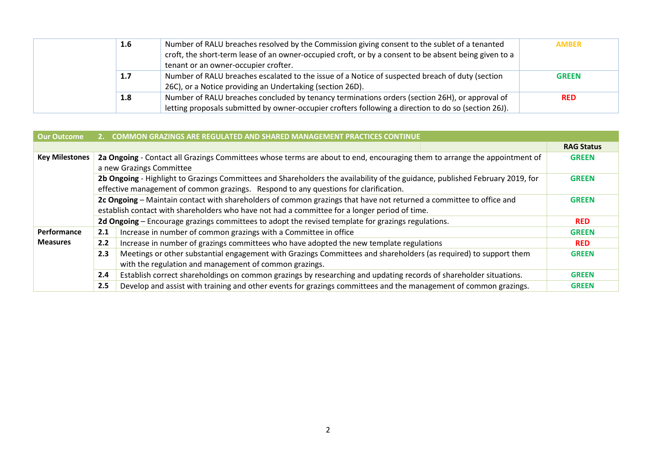| 1.6              | Number of RALU breaches resolved by the Commission giving consent to the sublet of a tenanted         | <b>AMBER</b> |
|------------------|-------------------------------------------------------------------------------------------------------|--------------|
|                  | croft, the short-term lease of an owner-occupied croft, or by a consent to be absent being given to a |              |
|                  | tenant or an owner-occupier crofter.                                                                  |              |
| 1.7 <sub>2</sub> | Number of RALU breaches escalated to the issue of a Notice of suspected breach of duty (section       | <b>GREEN</b> |
|                  | 26C), or a Notice providing an Undertaking (section 26D).                                             |              |
| 1.8              | Number of RALU breaches concluded by tenancy terminations orders (section 26H), or approval of        | <b>RED</b>   |
|                  | letting proposals submitted by owner-occupier crofters following a direction to do so (section 26J).  |              |

| <b>Our Outcome</b>    |                                                                                                                                         | 2. COMMON GRAZINGS ARE REGULATED AND SHARED MANAGEMENT PRACTICES CONTINUE                                                     |                   |  |  |  |  |  |
|-----------------------|-----------------------------------------------------------------------------------------------------------------------------------------|-------------------------------------------------------------------------------------------------------------------------------|-------------------|--|--|--|--|--|
|                       |                                                                                                                                         |                                                                                                                               | <b>RAG Status</b> |  |  |  |  |  |
| <b>Key Milestones</b> | 2a Ongoing - Contact all Grazings Committees whose terms are about to end, encouraging them to arrange the appointment of               |                                                                                                                               |                   |  |  |  |  |  |
|                       |                                                                                                                                         | a new Grazings Committee                                                                                                      |                   |  |  |  |  |  |
|                       |                                                                                                                                         | 2b Ongoing - Highlight to Grazings Committees and Shareholders the availability of the guidance, published February 2019, for | <b>GREEN</b>      |  |  |  |  |  |
|                       |                                                                                                                                         | effective management of common grazings. Respond to any questions for clarification.                                          |                   |  |  |  |  |  |
|                       |                                                                                                                                         | 2c Ongoing - Maintain contact with shareholders of common grazings that have not returned a committee to office and           | <b>GREEN</b>      |  |  |  |  |  |
|                       | establish contact with shareholders who have not had a committee for a longer period of time.                                           |                                                                                                                               |                   |  |  |  |  |  |
|                       |                                                                                                                                         | 2d Ongoing – Encourage grazings committees to adopt the revised template for grazings regulations.                            | <b>RED</b>        |  |  |  |  |  |
| Performance           | Increase in number of common grazings with a Committee in office<br>2.1<br><b>GREEN</b>                                                 |                                                                                                                               |                   |  |  |  |  |  |
| <b>Measures</b>       | 2.2                                                                                                                                     | Increase in number of grazings committees who have adopted the new template regulations<br><b>RED</b>                         |                   |  |  |  |  |  |
|                       | Meetings or other substantial engagement with Grazings Committees and shareholders (as required) to support them<br>2.3<br><b>GREEN</b> |                                                                                                                               |                   |  |  |  |  |  |
|                       |                                                                                                                                         | with the regulation and management of common grazings.                                                                        |                   |  |  |  |  |  |
|                       | 2.4                                                                                                                                     | Establish correct shareholdings on common grazings by researching and updating records of shareholder situations.             | <b>GREEN</b>      |  |  |  |  |  |
|                       | 2.5                                                                                                                                     | Develop and assist with training and other events for grazings committees and the management of common grazings.              | <b>GREEN</b>      |  |  |  |  |  |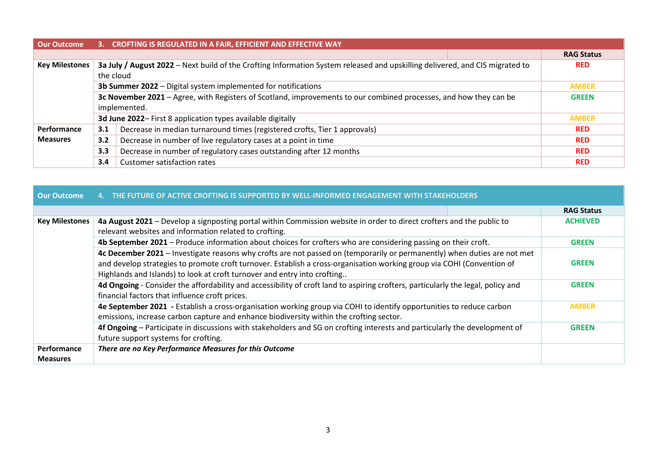| Our Outcome           | 3. CROFTING IS REGULATED IN A FAIR, EFFICIENT AND EFFECTIVE WAY                                                                   |                                                                                                                              |            |                   |  |  |  |  |
|-----------------------|-----------------------------------------------------------------------------------------------------------------------------------|------------------------------------------------------------------------------------------------------------------------------|------------|-------------------|--|--|--|--|
|                       |                                                                                                                                   |                                                                                                                              |            | <b>RAG Status</b> |  |  |  |  |
| <b>Key Milestones</b> |                                                                                                                                   | 3a July / August 2022 - Next build of the Crofting Information System released and upskilling delivered, and CIS migrated to |            | <b>RED</b>        |  |  |  |  |
|                       | the cloud                                                                                                                         |                                                                                                                              |            |                   |  |  |  |  |
|                       |                                                                                                                                   | 3b Summer 2022 - Digital system implemented for notifications                                                                |            | <b>AMBER</b>      |  |  |  |  |
|                       | 3c November 2021 - Agree, with Registers of Scotland, improvements to our combined processes, and how they can be<br><b>GREEN</b> |                                                                                                                              |            |                   |  |  |  |  |
|                       | implemented.                                                                                                                      |                                                                                                                              |            |                   |  |  |  |  |
|                       | 3d June 2022- First 8 application types available digitally<br><b>AMBER</b>                                                       |                                                                                                                              |            |                   |  |  |  |  |
| Performance           | 3.1                                                                                                                               |                                                                                                                              | <b>RED</b> |                   |  |  |  |  |
| <b>Measures</b>       | 3.2                                                                                                                               | <b>RED</b>                                                                                                                   |            |                   |  |  |  |  |
|                       | 3.3                                                                                                                               | Decrease in number of regulatory cases outstanding after 12 months                                                           |            | <b>RED</b>        |  |  |  |  |
|                       | 3.4                                                                                                                               | <b>Customer satisfaction rates</b>                                                                                           |            | <b>RED</b>        |  |  |  |  |

| <b>Our Outcome</b>    | THE FUTURE OF ACTIVE CROFTING IS SUPPORTED BY WELL-INFORMED ENGAGEMENT WITH STAKEHOLDERS                                                                                                                                                                                                                                       |                   |  |  |  |  |  |
|-----------------------|--------------------------------------------------------------------------------------------------------------------------------------------------------------------------------------------------------------------------------------------------------------------------------------------------------------------------------|-------------------|--|--|--|--|--|
|                       |                                                                                                                                                                                                                                                                                                                                | <b>RAG Status</b> |  |  |  |  |  |
| <b>Key Milestones</b> | 4a August 2021 – Develop a signposting portal within Commission website in order to direct crofters and the public to<br>relevant websites and information related to crofting.                                                                                                                                                | <b>ACHIEVED</b>   |  |  |  |  |  |
|                       | 4b September 2021 – Produce information about choices for crofters who are considering passing on their croft.                                                                                                                                                                                                                 | <b>GREEN</b>      |  |  |  |  |  |
|                       | 4c December 2021 - Investigate reasons why crofts are not passed on (temporarily or permanently) when duties are not met<br>and develop strategies to promote croft turnover. Establish a cross-organisation working group via COHI (Convention of<br>Highlands and Islands) to look at croft turnover and entry into crofting | <b>GREEN</b>      |  |  |  |  |  |
|                       | 4d Ongoing - Consider the affordability and accessibility of croft land to aspiring crofters, particularly the legal, policy and<br>financial factors that influence croft prices.                                                                                                                                             |                   |  |  |  |  |  |
|                       | 4e September 2021 - Establish a cross-organisation working group via COHI to identify opportunities to reduce carbon<br>emissions, increase carbon capture and enhance biodiversity within the crofting sector.                                                                                                                | <b>AMBER</b>      |  |  |  |  |  |
|                       | 4f Ongoing – Participate in discussions with stakeholders and SG on crofting interests and particularly the development of<br>future support systems for crofting.                                                                                                                                                             | <b>GREEN</b>      |  |  |  |  |  |
| <b>Performance</b>    | There are no Key Performance Measures for this Outcome                                                                                                                                                                                                                                                                         |                   |  |  |  |  |  |
| <b>Measures</b>       |                                                                                                                                                                                                                                                                                                                                |                   |  |  |  |  |  |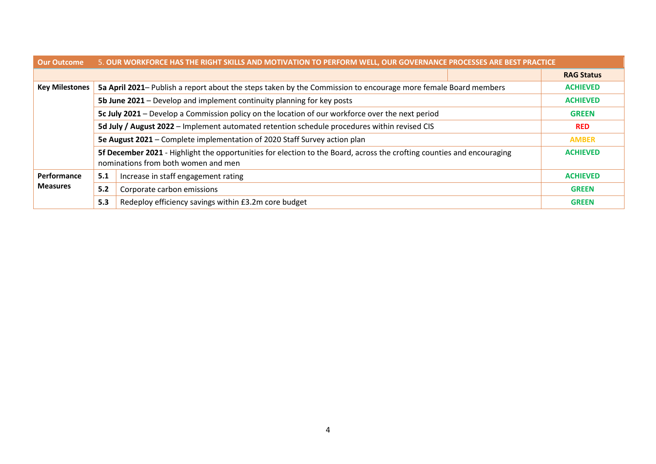| <b>Our Outcome</b>    | 5. OUR WORKFORCE HAS THE RIGHT SKILLS AND MOTIVATION TO PERFORM WELL, OUR GOVERNANCE PROCESSES ARE BEST PRACTICE                                                                 |                                                                                                                |                   |  |  |  |  |  |
|-----------------------|----------------------------------------------------------------------------------------------------------------------------------------------------------------------------------|----------------------------------------------------------------------------------------------------------------|-------------------|--|--|--|--|--|
|                       |                                                                                                                                                                                  |                                                                                                                | <b>RAG Status</b> |  |  |  |  |  |
| <b>Key Milestones</b> |                                                                                                                                                                                  | 5a April 2021– Publish a report about the steps taken by the Commission to encourage more female Board members | <b>ACHIEVED</b>   |  |  |  |  |  |
|                       | 5b June 2021 – Develop and implement continuity planning for key posts                                                                                                           | <b>ACHIEVED</b>                                                                                                |                   |  |  |  |  |  |
|                       |                                                                                                                                                                                  | 5c July 2021 – Develop a Commission policy on the location of our workforce over the next period               | <b>GREEN</b>      |  |  |  |  |  |
|                       | 5d July / August 2022 - Implement automated retention schedule procedures within revised CIS                                                                                     | <b>RED</b>                                                                                                     |                   |  |  |  |  |  |
|                       | 5e August 2021 – Complete implementation of 2020 Staff Survey action plan<br><b>AMBER</b>                                                                                        |                                                                                                                |                   |  |  |  |  |  |
|                       | 5f December 2021 - Highlight the opportunities for election to the Board, across the crofting counties and encouraging<br><b>ACHIEVED</b><br>nominations from both women and men |                                                                                                                |                   |  |  |  |  |  |
| Performance           | 5.1                                                                                                                                                                              | <b>ACHIEVED</b>                                                                                                |                   |  |  |  |  |  |
| <b>Measures</b>       | 5.2                                                                                                                                                                              | <b>GREEN</b>                                                                                                   |                   |  |  |  |  |  |
|                       | 5.3                                                                                                                                                                              | Redeploy efficiency savings within £3.2m core budget                                                           | <b>GREEN</b>      |  |  |  |  |  |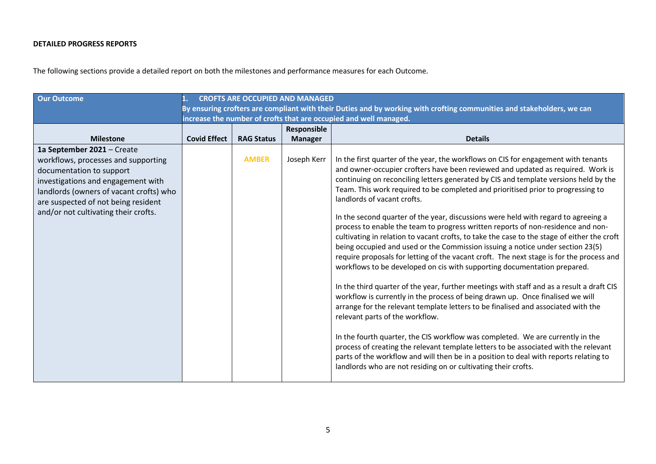# **DETAILED PROGRESS REPORTS**

The following sections provide a detailed report on both the milestones and performance measures for each Outcome.

| <b>Our Outcome</b>                                                                                                                                                                                                                                            | <b>CROFTS ARE OCCUPIED AND MANAGED</b><br>By ensuring crofters are compliant with their Duties and by working with crofting communities and stakeholders, we can<br>increase the number of crofts that are occupied and well managed. |                   |                               |                                                                                                                                                                                                                                                                                                                                                                                                                                                                                                                                                                                                                                                                                                                                                                                                                                                                                                                                                                                                                                                                                                                                                                                                                                                                                                                                                                                                                                                                                                                                                                 |  |  |  |  |
|---------------------------------------------------------------------------------------------------------------------------------------------------------------------------------------------------------------------------------------------------------------|---------------------------------------------------------------------------------------------------------------------------------------------------------------------------------------------------------------------------------------|-------------------|-------------------------------|-----------------------------------------------------------------------------------------------------------------------------------------------------------------------------------------------------------------------------------------------------------------------------------------------------------------------------------------------------------------------------------------------------------------------------------------------------------------------------------------------------------------------------------------------------------------------------------------------------------------------------------------------------------------------------------------------------------------------------------------------------------------------------------------------------------------------------------------------------------------------------------------------------------------------------------------------------------------------------------------------------------------------------------------------------------------------------------------------------------------------------------------------------------------------------------------------------------------------------------------------------------------------------------------------------------------------------------------------------------------------------------------------------------------------------------------------------------------------------------------------------------------------------------------------------------------|--|--|--|--|
| <b>Milestone</b>                                                                                                                                                                                                                                              | <b>Covid Effect</b>                                                                                                                                                                                                                   | <b>RAG Status</b> | Responsible<br><b>Manager</b> | <b>Details</b>                                                                                                                                                                                                                                                                                                                                                                                                                                                                                                                                                                                                                                                                                                                                                                                                                                                                                                                                                                                                                                                                                                                                                                                                                                                                                                                                                                                                                                                                                                                                                  |  |  |  |  |
| 1a September 2021 - Create<br>workflows, processes and supporting<br>documentation to support<br>investigations and engagement with<br>landlords (owners of vacant crofts) who<br>are suspected of not being resident<br>and/or not cultivating their crofts. |                                                                                                                                                                                                                                       | <b>AMBER</b>      | Joseph Kerr                   | In the first quarter of the year, the workflows on CIS for engagement with tenants<br>and owner-occupier crofters have been reviewed and updated as required. Work is<br>continuing on reconciling letters generated by CIS and template versions held by the<br>Team. This work required to be completed and prioritised prior to progressing to<br>landlords of vacant crofts.<br>In the second quarter of the year, discussions were held with regard to agreeing a<br>process to enable the team to progress written reports of non-residence and non-<br>cultivating in relation to vacant crofts, to take the case to the stage of either the croft<br>being occupied and used or the Commission issuing a notice under section 23(5)<br>require proposals for letting of the vacant croft. The next stage is for the process and<br>workflows to be developed on cis with supporting documentation prepared.<br>In the third quarter of the year, further meetings with staff and as a result a draft CIS<br>workflow is currently in the process of being drawn up. Once finalised we will<br>arrange for the relevant template letters to be finalised and associated with the<br>relevant parts of the workflow.<br>In the fourth quarter, the CIS workflow was completed. We are currently in the<br>process of creating the relevant template letters to be associated with the relevant<br>parts of the workflow and will then be in a position to deal with reports relating to<br>landlords who are not residing on or cultivating their crofts. |  |  |  |  |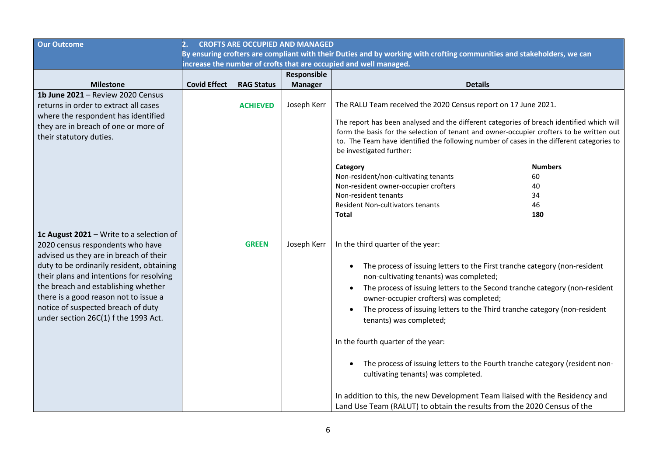| <b>Our Outcome</b>                                                                                                                                                                                                                                                                                                                                                            | <b>CROFTS ARE OCCUPIED AND MANAGED</b><br>2.                                                                           |                   |                |                                                                                                                                                                                                                                                                                                                                                                                                                                                                                                                                                                                                                                                                                                                                    |  |  |
|-------------------------------------------------------------------------------------------------------------------------------------------------------------------------------------------------------------------------------------------------------------------------------------------------------------------------------------------------------------------------------|------------------------------------------------------------------------------------------------------------------------|-------------------|----------------|------------------------------------------------------------------------------------------------------------------------------------------------------------------------------------------------------------------------------------------------------------------------------------------------------------------------------------------------------------------------------------------------------------------------------------------------------------------------------------------------------------------------------------------------------------------------------------------------------------------------------------------------------------------------------------------------------------------------------------|--|--|
|                                                                                                                                                                                                                                                                                                                                                                               | By ensuring crofters are compliant with their Duties and by working with crofting communities and stakeholders, we can |                   |                |                                                                                                                                                                                                                                                                                                                                                                                                                                                                                                                                                                                                                                                                                                                                    |  |  |
|                                                                                                                                                                                                                                                                                                                                                                               |                                                                                                                        |                   |                | increase the number of crofts that are occupied and well managed.                                                                                                                                                                                                                                                                                                                                                                                                                                                                                                                                                                                                                                                                  |  |  |
|                                                                                                                                                                                                                                                                                                                                                                               |                                                                                                                        |                   | Responsible    |                                                                                                                                                                                                                                                                                                                                                                                                                                                                                                                                                                                                                                                                                                                                    |  |  |
| <b>Milestone</b>                                                                                                                                                                                                                                                                                                                                                              | <b>Covid Effect</b>                                                                                                    | <b>RAG Status</b> | <b>Manager</b> | <b>Details</b>                                                                                                                                                                                                                                                                                                                                                                                                                                                                                                                                                                                                                                                                                                                     |  |  |
| 1b June 2021 - Review 2020 Census<br>returns in order to extract all cases<br>where the respondent has identified<br>they are in breach of one or more of<br>their statutory duties.                                                                                                                                                                                          |                                                                                                                        | <b>ACHIEVED</b>   | Joseph Kerr    | The RALU Team received the 2020 Census report on 17 June 2021.<br>The report has been analysed and the different categories of breach identified which will<br>form the basis for the selection of tenant and owner-occupier crofters to be written out<br>to. The Team have identified the following number of cases in the different categories to<br>be investigated further:<br><b>Numbers</b><br>Category<br>Non-resident/non-cultivating tenants<br>60<br>Non-resident owner-occupier crofters<br>40<br>Non-resident tenants<br>34<br><b>Resident Non-cultivators tenants</b><br>46<br>180<br><b>Total</b>                                                                                                                   |  |  |
| 1c August 2021 - Write to a selection of<br>2020 census respondents who have<br>advised us they are in breach of their<br>duty to be ordinarily resident, obtaining<br>their plans and intentions for resolving<br>the breach and establishing whether<br>there is a good reason not to issue a<br>notice of suspected breach of duty<br>under section 26C(1) f the 1993 Act. |                                                                                                                        | <b>GREEN</b>      | Joseph Kerr    | In the third quarter of the year:<br>The process of issuing letters to the First tranche category (non-resident<br>$\bullet$<br>non-cultivating tenants) was completed;<br>The process of issuing letters to the Second tranche category (non-resident<br>owner-occupier crofters) was completed;<br>The process of issuing letters to the Third tranche category (non-resident<br>tenants) was completed;<br>In the fourth quarter of the year:<br>The process of issuing letters to the Fourth tranche category (resident non-<br>cultivating tenants) was completed.<br>In addition to this, the new Development Team liaised with the Residency and<br>Land Use Team (RALUT) to obtain the results from the 2020 Census of the |  |  |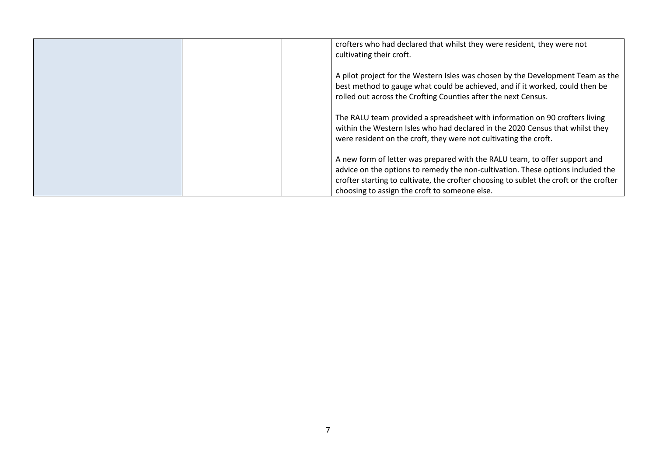| crofters who had declared that whilst they were resident, they were not<br>cultivating their croft.                                                                                                                                                                                                      |
|----------------------------------------------------------------------------------------------------------------------------------------------------------------------------------------------------------------------------------------------------------------------------------------------------------|
| A pilot project for the Western Isles was chosen by the Development Team as the<br>best method to gauge what could be achieved, and if it worked, could then be<br>rolled out across the Crofting Counties after the next Census.                                                                        |
| The RALU team provided a spreadsheet with information on 90 crofters living<br>within the Western Isles who had declared in the 2020 Census that whilst they<br>were resident on the croft, they were not cultivating the croft.                                                                         |
| A new form of letter was prepared with the RALU team, to offer support and<br>advice on the options to remedy the non-cultivation. These options included the<br>crofter starting to cultivate, the crofter choosing to sublet the croft or the crofter<br>choosing to assign the croft to someone else. |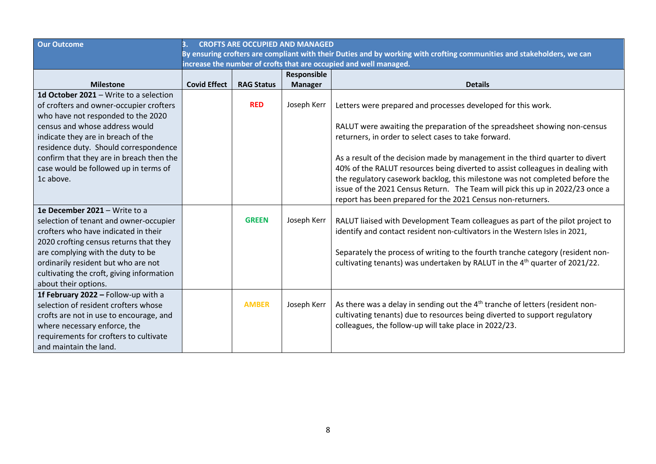| <b>CROFTS ARE OCCUPIED AND MANAGED</b>                                                                                 |                     |                                                                 |                                                                                                                                                                            |  |  |
|------------------------------------------------------------------------------------------------------------------------|---------------------|-----------------------------------------------------------------|----------------------------------------------------------------------------------------------------------------------------------------------------------------------------|--|--|
| By ensuring crofters are compliant with their Duties and by working with crofting communities and stakeholders, we can |                     |                                                                 |                                                                                                                                                                            |  |  |
|                                                                                                                        |                     |                                                                 |                                                                                                                                                                            |  |  |
|                                                                                                                        |                     | Responsible                                                     |                                                                                                                                                                            |  |  |
|                                                                                                                        |                     |                                                                 | <b>Details</b>                                                                                                                                                             |  |  |
|                                                                                                                        |                     |                                                                 |                                                                                                                                                                            |  |  |
|                                                                                                                        |                     |                                                                 | Letters were prepared and processes developed for this work.                                                                                                               |  |  |
|                                                                                                                        |                     |                                                                 |                                                                                                                                                                            |  |  |
|                                                                                                                        |                     |                                                                 | RALUT were awaiting the preparation of the spreadsheet showing non-census                                                                                                  |  |  |
|                                                                                                                        |                     |                                                                 | returners, in order to select cases to take forward.                                                                                                                       |  |  |
|                                                                                                                        |                     |                                                                 |                                                                                                                                                                            |  |  |
|                                                                                                                        |                     |                                                                 | As a result of the decision made by management in the third quarter to divert                                                                                              |  |  |
|                                                                                                                        |                     |                                                                 | 40% of the RALUT resources being diverted to assist colleagues in dealing with                                                                                             |  |  |
|                                                                                                                        |                     |                                                                 | the regulatory casework backlog, this milestone was not completed before the                                                                                               |  |  |
|                                                                                                                        |                     |                                                                 | issue of the 2021 Census Return. The Team will pick this up in 2022/23 once a                                                                                              |  |  |
|                                                                                                                        |                     |                                                                 | report has been prepared for the 2021 Census non-returners.                                                                                                                |  |  |
|                                                                                                                        |                     |                                                                 |                                                                                                                                                                            |  |  |
|                                                                                                                        |                     |                                                                 | RALUT liaised with Development Team colleagues as part of the pilot project to                                                                                             |  |  |
|                                                                                                                        |                     |                                                                 | identify and contact resident non-cultivators in the Western Isles in 2021,                                                                                                |  |  |
|                                                                                                                        |                     |                                                                 |                                                                                                                                                                            |  |  |
|                                                                                                                        |                     |                                                                 | Separately the process of writing to the fourth tranche category (resident non-<br>cultivating tenants) was undertaken by RALUT in the 4 <sup>th</sup> quarter of 2021/22. |  |  |
|                                                                                                                        |                     |                                                                 |                                                                                                                                                                            |  |  |
|                                                                                                                        |                     |                                                                 |                                                                                                                                                                            |  |  |
|                                                                                                                        |                     |                                                                 |                                                                                                                                                                            |  |  |
|                                                                                                                        |                     |                                                                 | As there was a delay in sending out the 4 <sup>th</sup> tranche of letters (resident non-                                                                                  |  |  |
|                                                                                                                        |                     |                                                                 | cultivating tenants) due to resources being diverted to support regulatory                                                                                                 |  |  |
|                                                                                                                        |                     |                                                                 | colleagues, the follow-up will take place in 2022/23.                                                                                                                      |  |  |
|                                                                                                                        |                     |                                                                 |                                                                                                                                                                            |  |  |
|                                                                                                                        |                     |                                                                 |                                                                                                                                                                            |  |  |
|                                                                                                                        | <b>Covid Effect</b> | <b>RAG Status</b><br><b>RED</b><br><b>GREEN</b><br><b>AMBER</b> | increase the number of crofts that are occupied and well managed.<br><b>Manager</b><br>Joseph Kerr<br>Joseph Kerr<br>Joseph Kerr                                           |  |  |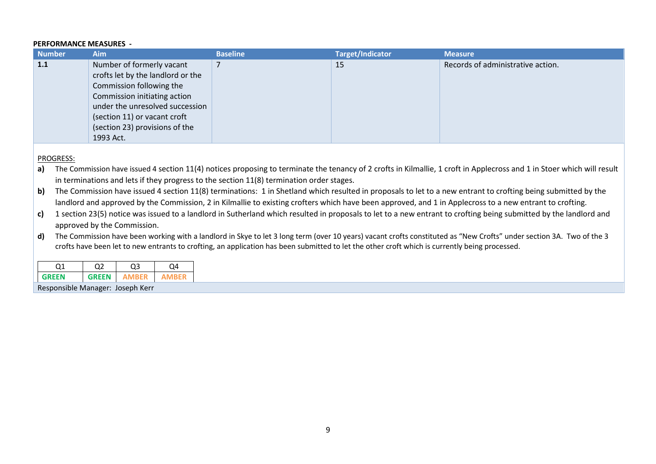#### **PERFORMANCE MEASURES -**

| <b>Number</b> | <b>Aim</b>                        | <b>Baseline</b> | Target/Indicator | <b>Measure</b>                    |
|---------------|-----------------------------------|-----------------|------------------|-----------------------------------|
| 1.1           | Number of formerly vacant         |                 | 15               | Records of administrative action. |
|               | crofts let by the landlord or the |                 |                  |                                   |
|               | Commission following the          |                 |                  |                                   |
|               | Commission initiating action      |                 |                  |                                   |
|               | under the unresolved succession   |                 |                  |                                   |
|               | (section 11) or vacant croft      |                 |                  |                                   |
|               | (section 23) provisions of the    |                 |                  |                                   |
|               | 1993 Act.                         |                 |                  |                                   |

## PROGRESS:

a) The Commission have issued 4 section 11(4) notices proposing to terminate the tenancy of 2 crofts in Kilmallie, 1 croft in Applecross and 1 in Stoer which will result in terminations and lets if they progress to the section 11(8) termination order stages.

**b)** The Commission have issued 4 section 11(8) terminations: 1 in Shetland which resulted in proposals to let to a new entrant to crofting being submitted by the landlord and approved by the Commission, 2 in Kilmallie to existing crofters which have been approved, and 1 in Applecross to a new entrant to crofting.

**c)** 1 section 23(5) notice was issued to a landlord in Sutherland which resulted in proposals to let to a new entrant to crofting being submitted by the landlord and approved by the Commission.

d) The Commission have been working with a landlord in Skye to let 3 long term (over 10 years) vacant crofts constituted as "New Crofts" under section 3A. Two of the 3 crofts have been let to new entrants to crofting, an application has been submitted to let the other croft which is currently being processed.

| 71                                 | רר           |       |  |  |  |  |  |
|------------------------------------|--------------|-------|--|--|--|--|--|
| <b>GRFFN</b>                       | <b>GRFFN</b> | AMREE |  |  |  |  |  |
| $\sim$ $\sim$ $\sim$ $\sim$ $\sim$ |              |       |  |  |  |  |  |

Responsible Manager: Joseph Kerr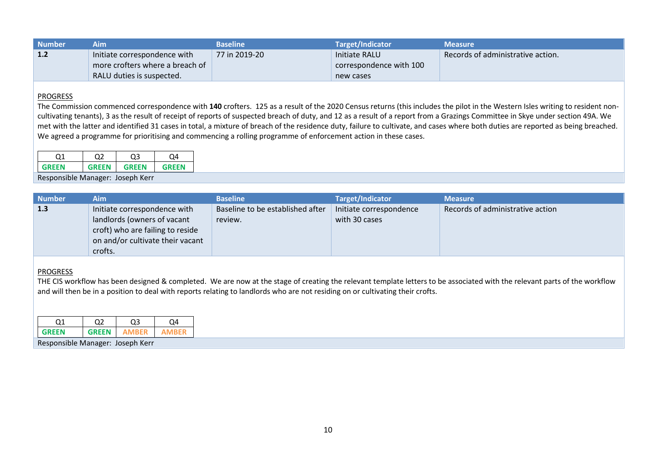| <b>Number</b> | Aim                             | <b>Baseline</b> | Target/Indicator        | <b>Measure</b>                    |
|---------------|---------------------------------|-----------------|-------------------------|-----------------------------------|
| 1.2           | Initiate correspondence with    | 77 in 2019-20   | Initiate RALU           | Records of administrative action. |
|               | more crofters where a breach of |                 | correspondence with 100 |                                   |
|               | RALU duties is suspected.       |                 | new cases               |                                   |

The Commission commenced correspondence with **140** crofters. 125 as a result of the 2020 Census returns (this includes the pilot in the Western Isles writing to resident noncultivating tenants), 3 as the result of receipt of reports of suspected breach of duty, and 12 as a result of a report from a Grazings Committee in Skye under section 49A. We met with the latter and identified 31 cases in total, a mixture of breach of the residence duty, failure to cultivate, and cases where both duties are reported as being breached. We agreed a programme for prioritising and commencing a rolling programme of enforcement action in these cases.

|              | $\cdot$      |              |       |
|--------------|--------------|--------------|-------|
| <b>GRFFN</b> | <b>CREEN</b> | <b>GRFFN</b> | GRFFN |

Responsible Manager: Joseph Kerr

| <b>Number</b> | Aim                              | <b>Baseline</b>                  | <b>Target/Indicator</b> | <b>Measure</b>                   |
|---------------|----------------------------------|----------------------------------|-------------------------|----------------------------------|
| 1.3           | Initiate correspondence with     | Baseline to be established after | Initiate correspondence | Records of administrative action |
|               | landlords (owners of vacant      | review.                          | with 30 cases           |                                  |
|               | croft) who are failing to reside |                                  |                         |                                  |
|               | on and/or cultivate their vacant |                                  |                         |                                  |
|               | crofts.                          |                                  |                         |                                  |

## PROGRESS

THE CIS workflow has been designed & completed. We are now at the stage of creating the relevant template letters to be associated with the relevant parts of the workflow and will then be in a position to deal with reports relating to landlords who are not residing on or cultivating their crofts.

| GRFFN | GRFFN |  |
|-------|-------|--|

Responsible Manager: Joseph Kerr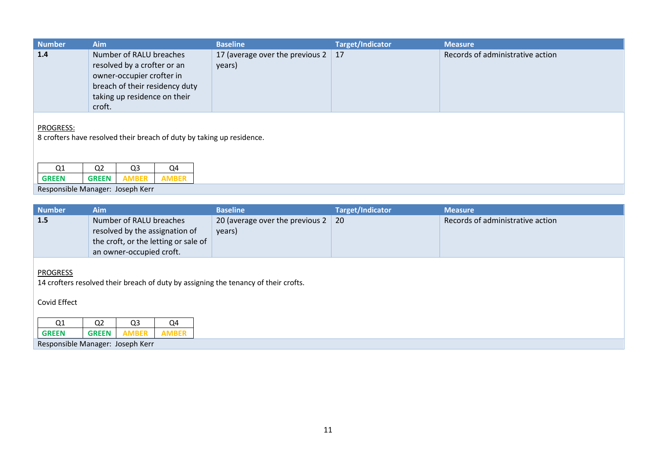| <b>Number</b> | <b>Aim</b>                                                                                                                                                      | <b>Baseline</b>                                     | <b>Target/Indicator</b> | <b>Measure</b>                   |
|---------------|-----------------------------------------------------------------------------------------------------------------------------------------------------------------|-----------------------------------------------------|-------------------------|----------------------------------|
| 1.4           | Number of RALU breaches<br>resolved by a crofter or an<br>owner-occupier crofter in<br>breach of their residency duty<br>taking up residence on their<br>croft. | 17 (average over the previous $2 \mid 17$<br>years) |                         | Records of administrative action |
|               |                                                                                                                                                                 |                                                     |                         |                                  |

8 crofters have resolved their breach of duty by taking up residence.

| <b>GREEN</b> |  |  |
|--------------|--|--|
|              |  |  |

Responsible Manager: Joseph Kerr

| <b>Number</b> | Aim                                                                                                                           | <b>Baseline</b>                                     | <b>Target/Indicator</b> | <b>Measure</b>                   |
|---------------|-------------------------------------------------------------------------------------------------------------------------------|-----------------------------------------------------|-------------------------|----------------------------------|
| 1.5           | Number of RALU breaches<br>resolved by the assignation of<br>the croft, or the letting or sale of<br>an owner-occupied croft. | 20 (average over the previous $2 \mid 20$<br>years) |                         | Records of administrative action |

# **PROGRESS**

14 crofters resolved their breach of duty by assigning the tenancy of their crofts.

# Covid Effect

| Q1                               | o٦<br>w | us | ി∆ |
|----------------------------------|---------|----|----|
| <b>GREEN</b>                     |         |    |    |
| Responsible Manager: Joseph Kerr |         |    |    |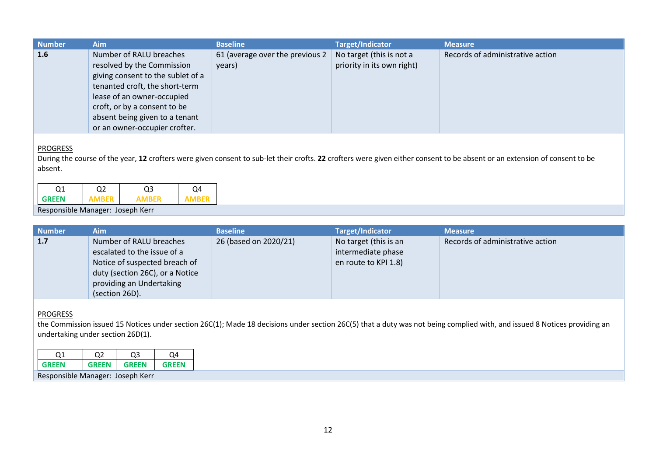| <b>Number</b> | <b>Aim</b>                                                                                                                                                                                 | <b>Baseline</b>                           | <b>Target/Indicator</b>                                | <b>Measure</b>                   |
|---------------|--------------------------------------------------------------------------------------------------------------------------------------------------------------------------------------------|-------------------------------------------|--------------------------------------------------------|----------------------------------|
| 1.6           | Number of RALU breaches<br>resolved by the Commission<br>giving consent to the sublet of a<br>tenanted croft, the short-term<br>lease of an owner-occupied<br>croft, or by a consent to be | 61 (average over the previous 2<br>years) | No target (this is not a<br>priority in its own right) | Records of administrative action |
|               | absent being given to a tenant<br>or an owner-occupier crofter.                                                                                                                            |                                           |                                                        |                                  |
|               |                                                                                                                                                                                            |                                           |                                                        |                                  |

During the course of the year, **12** crofters were given consent to sub-let their crofts. **22** crofters were given either consent to be absent or an extension of consent to be absent.

Responsible Manager: Joseph Kerr

| <b>Number</b> | Aim                                                                                                                                                                      | <b>Baseline</b>       | <b>Target/Indicator</b>                                             | <b>Measure</b>                   |
|---------------|--------------------------------------------------------------------------------------------------------------------------------------------------------------------------|-----------------------|---------------------------------------------------------------------|----------------------------------|
| 1.7           | Number of RALU breaches<br>escalated to the issue of a<br>Notice of suspected breach of<br>duty (section 26C), or a Notice<br>providing an Undertaking<br>(section 26D). | 26 (based on 2020/21) | No target (this is an<br>intermediate phase<br>en route to KPI 1.8) | Records of administrative action |

## **PROGRESS**

the Commission issued 15 Notices under section 26C(1); Made 18 decisions under section 26C(5) that a duty was not being complied with, and issued 8 Notices providing an undertaking under section 26D(1).

| าง           | ר ר          | ገን    | ור           |
|--------------|--------------|-------|--------------|
| <b>GREEN</b> | <b>GRFFN</b> | GREEN | <b>GRFFN</b> |

Responsible Manager: Joseph Kerr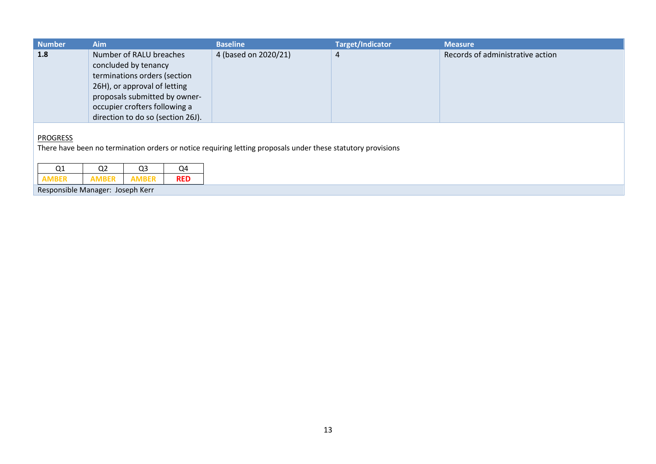| <b>Number</b>                         | Aim                                                                                                                                                                                                                    |  |                      | <b>Baseline</b> | <b>Target/Indicator</b>          | <b>Measure</b> |
|---------------------------------------|------------------------------------------------------------------------------------------------------------------------------------------------------------------------------------------------------------------------|--|----------------------|-----------------|----------------------------------|----------------|
| 1.8                                   | Number of RALU breaches<br>concluded by tenancy<br>terminations orders (section<br>26H), or approval of letting<br>proposals submitted by owner-<br>occupier crofters following a<br>direction to do so (section 26J). |  | 4 (based on 2020/21) | 4               | Records of administrative action |                |
| <b>PROGRESS</b><br>Q1<br><b>AMBER</b> | There have been no termination orders or notice requiring letting proposals under these statutory provisions<br>Q <sub>2</sub><br>Q4<br>Q <sub>3</sub><br><b>AMBER</b><br><b>AMBER</b><br><b>RED</b>                   |  |                      |                 |                                  |                |
| Responsible Manager: Joseph Kerr      |                                                                                                                                                                                                                        |  |                      |                 |                                  |                |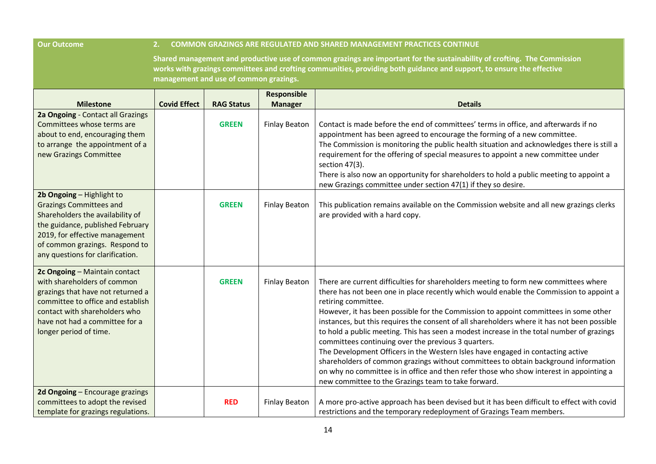| <b>Our Outcome</b>                                                                                                                                                                                                                          |                                                                                                                                                                                                                                                                                             |                   |                                      | <b>COMMON GRAZINGS ARE REGULATED AND SHARED MANAGEMENT PRACTICES CONTINUE</b>                                                                                                                                                                                                                                                                                                                                                                                                                                                                                                                                                                                                                                                                                                                                                                                                 |  |  |
|---------------------------------------------------------------------------------------------------------------------------------------------------------------------------------------------------------------------------------------------|---------------------------------------------------------------------------------------------------------------------------------------------------------------------------------------------------------------------------------------------------------------------------------------------|-------------------|--------------------------------------|-------------------------------------------------------------------------------------------------------------------------------------------------------------------------------------------------------------------------------------------------------------------------------------------------------------------------------------------------------------------------------------------------------------------------------------------------------------------------------------------------------------------------------------------------------------------------------------------------------------------------------------------------------------------------------------------------------------------------------------------------------------------------------------------------------------------------------------------------------------------------------|--|--|
|                                                                                                                                                                                                                                             | Shared management and productive use of common grazings are important for the sustainability of crofting. The Commission<br>works with grazings committees and crofting communities, providing both guidance and support, to ensure the effective<br>management and use of common grazings. |                   |                                      |                                                                                                                                                                                                                                                                                                                                                                                                                                                                                                                                                                                                                                                                                                                                                                                                                                                                               |  |  |
| <b>Milestone</b>                                                                                                                                                                                                                            | <b>Covid Effect</b>                                                                                                                                                                                                                                                                         | <b>RAG Status</b> | <b>Responsible</b><br><b>Manager</b> | <b>Details</b>                                                                                                                                                                                                                                                                                                                                                                                                                                                                                                                                                                                                                                                                                                                                                                                                                                                                |  |  |
| 2a Ongoing - Contact all Grazings<br>Committees whose terms are<br>about to end, encouraging them<br>to arrange the appointment of a<br>new Grazings Committee                                                                              |                                                                                                                                                                                                                                                                                             | <b>GREEN</b>      | <b>Finlay Beaton</b>                 | Contact is made before the end of committees' terms in office, and afterwards if no<br>appointment has been agreed to encourage the forming of a new committee.<br>The Commission is monitoring the public health situation and acknowledges there is still a<br>requirement for the offering of special measures to appoint a new committee under<br>section 47(3).<br>There is also now an opportunity for shareholders to hold a public meeting to appoint a<br>new Grazings committee under section 47(1) if they so desire.                                                                                                                                                                                                                                                                                                                                              |  |  |
| 2b Ongoing - Highlight to<br><b>Grazings Committees and</b><br>Shareholders the availability of<br>the guidance, published February<br>2019, for effective management<br>of common grazings. Respond to<br>any questions for clarification. |                                                                                                                                                                                                                                                                                             | <b>GREEN</b>      | <b>Finlay Beaton</b>                 | This publication remains available on the Commission website and all new grazings clerks<br>are provided with a hard copy.                                                                                                                                                                                                                                                                                                                                                                                                                                                                                                                                                                                                                                                                                                                                                    |  |  |
| 2c Ongoing - Maintain contact<br>with shareholders of common<br>grazings that have not returned a<br>committee to office and establish<br>contact with shareholders who<br>have not had a committee for a<br>longer period of time.         |                                                                                                                                                                                                                                                                                             | <b>GREEN</b>      | <b>Finlay Beaton</b>                 | There are current difficulties for shareholders meeting to form new committees where<br>there has not been one in place recently which would enable the Commission to appoint a<br>retiring committee.<br>However, it has been possible for the Commission to appoint committees in some other<br>instances, but this requires the consent of all shareholders where it has not been possible<br>to hold a public meeting. This has seen a modest increase in the total number of grazings<br>committees continuing over the previous 3 quarters.<br>The Development Officers in the Western Isles have engaged in contacting active<br>shareholders of common grazings without committees to obtain background information<br>on why no committee is in office and then refer those who show interest in appointing a<br>new committee to the Grazings team to take forward. |  |  |
| 2d Ongoing - Encourage grazings<br>committees to adopt the revised<br>template for grazings regulations.                                                                                                                                    |                                                                                                                                                                                                                                                                                             | <b>RED</b>        | <b>Finlay Beaton</b>                 | A more pro-active approach has been devised but it has been difficult to effect with covid<br>restrictions and the temporary redeployment of Grazings Team members.                                                                                                                                                                                                                                                                                                                                                                                                                                                                                                                                                                                                                                                                                                           |  |  |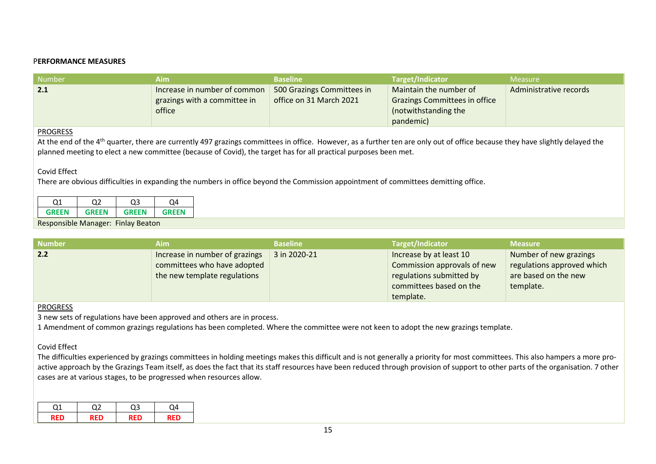## P**ERFORMANCE MEASURES**

| Number | Aim.                         | <b>Baseline</b>            | Target/Indicator                     | <b>Measure</b>         |
|--------|------------------------------|----------------------------|--------------------------------------|------------------------|
| 2.1    | Increase in number of common | 500 Grazings Committees in | Maintain the number of               | Administrative records |
|        | grazings with a committee in | office on 31 March 2021    | <b>Grazings Committees in office</b> |                        |
|        | office                       |                            | (notwithstanding the                 |                        |
|        |                              |                            | pandemic)                            |                        |

### **PROGRESS**

At the end of the 4<sup>th</sup> quarter, there are currently 497 grazings committees in office. However, as a further ten are only out of office because they have slightly delayed the planned meeting to elect a new committee (because of Covid), the target has for all practical purposes been met.

### Covid Effect

There are obvious difficulties in expanding the numbers in office beyond the Commission appointment of committees demitting office.

| ר ר         | רר |     |
|-------------|----|-----|
| <b>SENI</b> |    | EEN |

Responsible Manager: Finlay Beaton

| <b>Number</b> | Aim                            | <b>Baseline</b> | Target/Indicator            | <b>Measure</b>             |
|---------------|--------------------------------|-----------------|-----------------------------|----------------------------|
| 2.2           | Increase in number of grazings | 3 in 2020-21    | Increase by at least 10     | Number of new grazings     |
|               | committees who have adopted    |                 | Commission approvals of new | regulations approved which |
|               | the new template regulations   |                 | regulations submitted by    | are based on the new       |
|               |                                |                 | committees based on the     | template.                  |
|               |                                |                 | template.                   |                            |

#### PROGRESS

3 new sets of regulations have been approved and others are in process.

1 Amendment of common grazings regulations has been completed. Where the committee were not keen to adopt the new grazings template.

#### Covid Effect

The difficulties experienced by grazings committees in holding meetings makes this difficult and is not generally a priority for most committees. This also hampers a more proactive approach by the Grazings Team itself, as does the fact that its staff resources have been reduced through provision of support to other parts of the organisation. 7 other cases are at various stages, to be progressed when resources allow.

| ົ   | ຳ | ገ4 |
|-----|---|----|
| psn |   |    |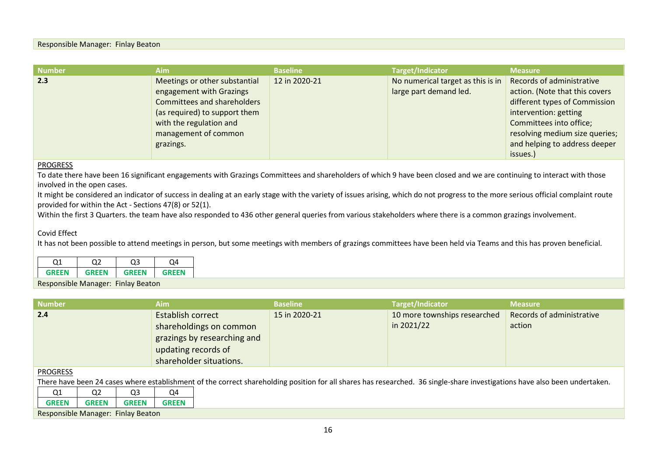#### Responsible Manager: Finlay Beaton

| <b>Number</b> | <b>Aim</b>                                                                                                                                                                                       | <b>Baseline</b> | Target/Indicator                                            | <b>Measure</b>                                                                                                                                                                                                                  |
|---------------|--------------------------------------------------------------------------------------------------------------------------------------------------------------------------------------------------|-----------------|-------------------------------------------------------------|---------------------------------------------------------------------------------------------------------------------------------------------------------------------------------------------------------------------------------|
| 2.3           | Meetings or other substantial<br>engagement with Grazings<br><b>Committees and shareholders</b><br>(as required) to support them<br>with the regulation and<br>management of common<br>grazings. | 12 in 2020-21   | No numerical target as this is in<br>large part demand led. | Records of administrative<br>action. (Note that this covers<br>different types of Commission<br>intervention: getting<br>Committees into office;<br>resolving medium size queries;<br>and helping to address deeper<br>issues.) |

## PROGRESS

To date there have been 16 significant engagements with Grazings Committees and shareholders of which 9 have been closed and we are continuing to interact with those involved in the open cases.

It might be considered an indicator of success in dealing at an early stage with the variety of issues arising, which do not progress to the more serious official complaint route provided for within the Act - Sections 47(8) or 52(1).

Within the first 3 Quarters, the team have also responded to 436 other general queries from various stakeholders where there is a common grazings involvement.

### Covid Effect

It has not been possible to attend meetings in person, but some meetings with members of grazings committees have been held via Teams and this has proven beneficial.

| GRFFN | <b>GRFFN</b> | <b>GRFFN</b> | <b>GRFFN</b> |
|-------|--------------|--------------|--------------|

Responsible Manager: Finlay Beaton

| <b>Number</b> | Aim                                                                                                                                  | <b>Baseline</b> | Target/Indicator                           | <b>Measure</b>                      |
|---------------|--------------------------------------------------------------------------------------------------------------------------------------|-----------------|--------------------------------------------|-------------------------------------|
| 2.4           | <b>Establish correct</b><br>shareholdings on common<br>grazings by researching and<br>updating records of<br>shareholder situations. | 15 in 2020-21   | 10 more townships researched<br>in 2021/22 | Records of administrative<br>action |

#### PROGRESS

There have been 24 cases where establishment of the correct shareholding position for all shares has researched. 36 single-share investigations have also been undertaken.

| $\sim$<br>u⊥                                 | റാ<br>o٩<br>w<br>u           | റു<br>v      |
|----------------------------------------------|------------------------------|--------------|
| <b>GREEN</b>                                 | <b>GREEN</b><br><b>GREEN</b> | <b>GREEN</b> |
| Responsible Manager:<br><b>Finlay Beaton</b> |                              |              |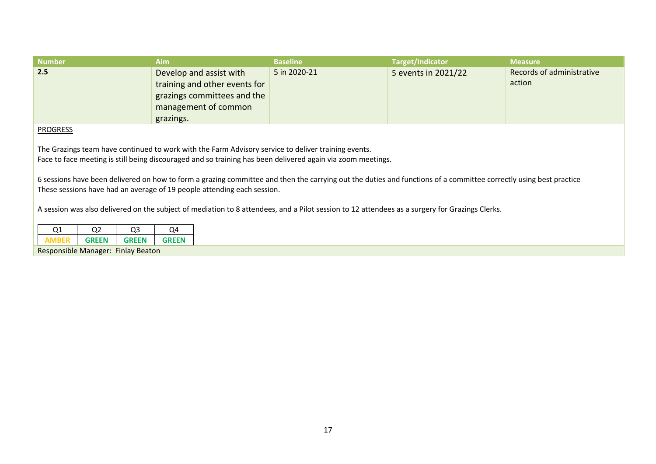| <b>Number</b>                                                                                                                                                                                                                         | <b>Aim</b>                                                                                                                   | <b>Baseline</b> | <b>Target/Indicator</b> | <b>Measure</b>                      |  |  |  |
|---------------------------------------------------------------------------------------------------------------------------------------------------------------------------------------------------------------------------------------|------------------------------------------------------------------------------------------------------------------------------|-----------------|-------------------------|-------------------------------------|--|--|--|
| 2.5                                                                                                                                                                                                                                   | Develop and assist with<br>training and other events for<br>grazings committees and the<br>management of common<br>grazings. | 5 in 2020-21    | 5 events in 2021/22     | Records of administrative<br>action |  |  |  |
| <b>PROGRESS</b><br>The Grazings team have continued to work with the Farm Advisory service to deliver training events.<br>Face to face meeting is still being discouraged and so training has been delivered again via zoom meetings. |                                                                                                                              |                 |                         |                                     |  |  |  |

6 sessions have been delivered on how to form a grazing committee and then the carrying out the duties and functions of a committee correctly using best practice These sessions have had an average of 19 people attending each session.

A session was also delivered on the subject of mediation to 8 attendees, and a Pilot session to 12 attendees as a surgery for Grazings Clerks.

| <b>GREEN</b><br><b>GRFFN</b><br>GRFFN |  | רו |  |
|---------------------------------------|--|----|--|
|                                       |  |    |  |

Responsible Manager: Finlay Beaton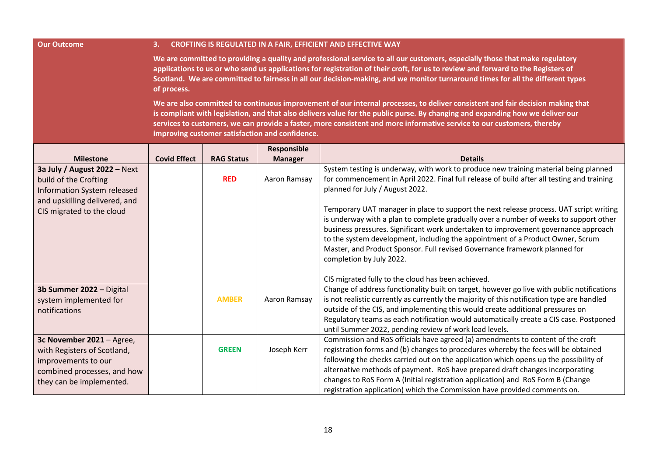#### **Our Outcome 3. CROFTING IS REGULATED IN A FAIR, EFFICIENT AND EFFECTIVE WAY**

**We are committed to providing a quality and professional service to all our customers, especially those that make regulatory applications to us or who send us applications for registration of their croft, for us to review and forward to the Registers of Scotland. We are committed to fairness in all our decision-making, and we monitor turnaround times for all the different types of process.**

**We are also committed to continuous improvement of our internal processes, to deliver consistent and fair decision making that is compliant with legislation, and that also delivers value for the public purse. By changing and expanding how we deliver our services to customers, we can provide a faster, more consistent and more informative service to our customers, thereby improving customer satisfaction and confidence.**

|                                                                                                                                                      |                     |                   | Responsible    |                                                                                                                                                                                                                                                                                                                                                                                                                                                                                                                 |
|------------------------------------------------------------------------------------------------------------------------------------------------------|---------------------|-------------------|----------------|-----------------------------------------------------------------------------------------------------------------------------------------------------------------------------------------------------------------------------------------------------------------------------------------------------------------------------------------------------------------------------------------------------------------------------------------------------------------------------------------------------------------|
| <b>Milestone</b>                                                                                                                                     | <b>Covid Effect</b> | <b>RAG Status</b> | <b>Manager</b> | <b>Details</b>                                                                                                                                                                                                                                                                                                                                                                                                                                                                                                  |
| 3a July / August $2022 - Next$<br>build of the Crofting<br>Information System released<br>and upskilling delivered, and<br>CIS migrated to the cloud |                     | <b>RED</b>        | Aaron Ramsay   | System testing is underway, with work to produce new training material being planned<br>for commencement in April 2022. Final full release of build after all testing and training<br>planned for July / August 2022.<br>Temporary UAT manager in place to support the next release process. UAT script writing<br>is underway with a plan to complete gradually over a number of weeks to support other<br>business pressures. Significant work undertaken to improvement governance approach                  |
|                                                                                                                                                      |                     |                   |                | to the system development, including the appointment of a Product Owner, Scrum<br>Master, and Product Sponsor. Full revised Governance framework planned for<br>completion by July 2022.<br>CIS migrated fully to the cloud has been achieved.                                                                                                                                                                                                                                                                  |
| 3b Summer 2022 - Digital<br>system implemented for<br>notifications                                                                                  |                     | <b>AMBER</b>      | Aaron Ramsay   | Change of address functionality built on target, however go live with public notifications<br>is not realistic currently as currently the majority of this notification type are handled<br>outside of the CIS, and implementing this would create additional pressures on<br>Regulatory teams as each notification would automatically create a CIS case. Postponed<br>until Summer 2022, pending review of work load levels.                                                                                  |
| 3c November 2021 - Agree,<br>with Registers of Scotland,<br>improvements to our<br>combined processes, and how<br>they can be implemented.           |                     | <b>GREEN</b>      | Joseph Kerr    | Commission and RoS officials have agreed (a) amendments to content of the croft<br>registration forms and (b) changes to procedures whereby the fees will be obtained<br>following the checks carried out on the application which opens up the possibility of<br>alternative methods of payment. RoS have prepared draft changes incorporating<br>changes to RoS Form A (Initial registration application) and RoS Form B (Change<br>registration application) which the Commission have provided comments on. |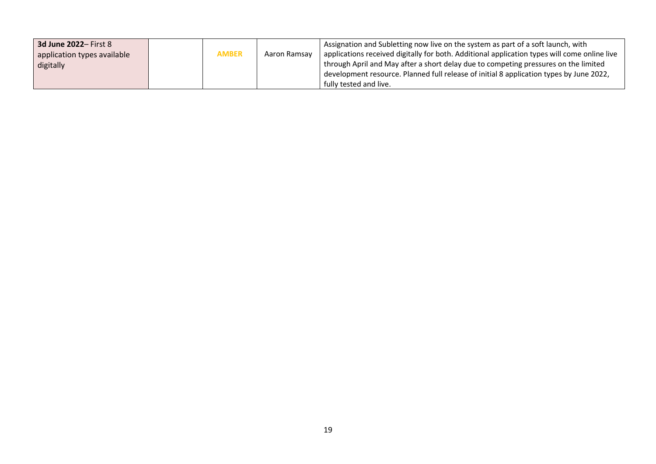| <b>3d June 2022-First 8</b><br>application types available<br>digitally | <b>AMBER</b> | Aaron Ramsay | Assignation and Subletting now live on the system as part of a soft launch, with<br>applications received digitally for both. Additional application types will come online live<br>through April and May after a short delay due to competing pressures on the limited |
|-------------------------------------------------------------------------|--------------|--------------|-------------------------------------------------------------------------------------------------------------------------------------------------------------------------------------------------------------------------------------------------------------------------|
|                                                                         |              |              | development resource. Planned full release of initial 8 application types by June 2022,<br>fully tested and live.                                                                                                                                                       |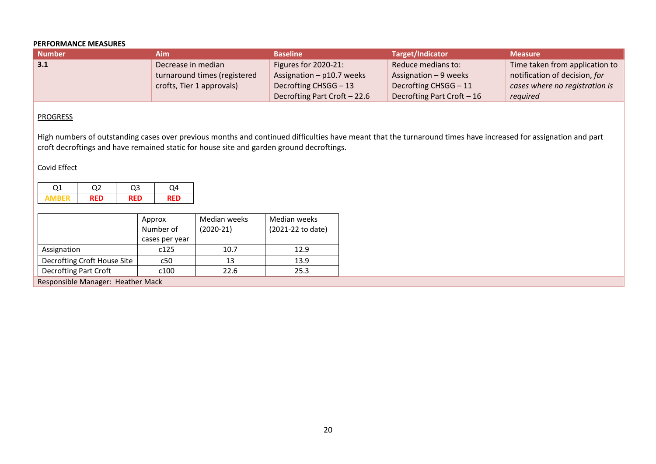## **PERFORMANCE MEASURES**

| <b>Number</b>     | Aim                          | <b>Baseline</b>              | Target/Indicator            | <b>Measure</b>                 |
|-------------------|------------------------------|------------------------------|-----------------------------|--------------------------------|
| $\vert 3.1 \vert$ | Decrease in median           | Figures for 2020-21:         | Reduce medians to:          | Time taken from application to |
|                   | turnaround times (registered | Assignation $-$ p10.7 weeks  | Assignation $-9$ weeks      | notification of decision, for  |
|                   | crofts, Tier 1 approvals)    | Decrofting CHSGG - 13        | Decrofting CHSGG - 11       | cases where no registration is |
|                   |                              | Decrofting Part Croft - 22.6 | Decrofting Part Croft $-16$ | reguired                       |

## **PROGRESS**

High numbers of outstanding cases over previous months and continued difficulties have meant that the turnaround times have increased for assignation and part croft decroftings and have remained static for house site and garden ground decroftings.

## Covid Effect

|                                                      | Approx         | Median weeks | Median weeks      |  |  |
|------------------------------------------------------|----------------|--------------|-------------------|--|--|
|                                                      | Number of      | $(2020-21)$  | (2021-22 to date) |  |  |
|                                                      | cases per year |              |                   |  |  |
| Assignation                                          | c125           | 10.7         | 12.9              |  |  |
| Decrofting Croft House Site                          | c50            | 13           | 13.9              |  |  |
| <b>Decrofting Part Croft</b><br>25.3<br>22.6<br>c100 |                |              |                   |  |  |
| Responsible Manager: Heather Mack                    |                |              |                   |  |  |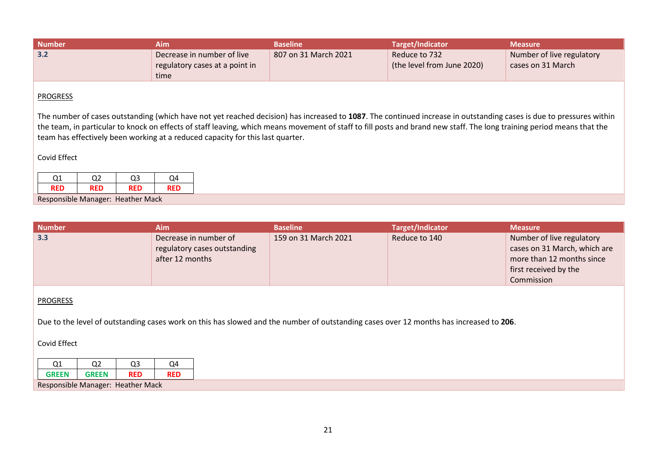| <b>Number</b> | Aim                                                                  | <b>Baseline</b>      | Target/Indicator                            | <b>Measure</b>                                 |
|---------------|----------------------------------------------------------------------|----------------------|---------------------------------------------|------------------------------------------------|
| 3.2           | Decrease in number of live<br>regulatory cases at a point in<br>time | 807 on 31 March 2021 | Reduce to 732<br>(the level from June 2020) | Number of live regulatory<br>cases on 31 March |

The number of cases outstanding (which have not yet reached decision) has increased to **1087**. The continued increase in outstanding cases is due to pressures within the team, in particular to knock on effects of staff leaving, which means movement of staff to fill posts and brand new staff. The long training period means that the team has effectively been working at a reduced capacity for this last quarter.

# Covid Effect

| Ο1                                | ገን         | Q3         | Ω4  |  |  |
|-----------------------------------|------------|------------|-----|--|--|
| <b>RFD</b>                        | <b>RFD</b> | <b>RED</b> | RFD |  |  |
| Responsible Manager: Heather Mack |            |            |     |  |  |

| <b>Number</b>                              | <b>Aim</b>                                                                                                                             | <b>Baseline</b>      | <b>Target/Indicator</b> | <b>Measure</b>                                                                                                  |  |  |  |
|--------------------------------------------|----------------------------------------------------------------------------------------------------------------------------------------|----------------------|-------------------------|-----------------------------------------------------------------------------------------------------------------|--|--|--|
| 3.3                                        | Decrease in number of<br>regulatory cases outstanding<br>after 12 months                                                               | 159 on 31 March 2021 | Reduce to 140           | Number of live regulatory<br>cases on 31 March, which are<br>more than 12 months since<br>first received by the |  |  |  |
|                                            |                                                                                                                                        |                      |                         | Commission                                                                                                      |  |  |  |
| <b>PROGRESS</b>                            |                                                                                                                                        |                      |                         |                                                                                                                 |  |  |  |
|                                            | Due to the level of outstanding cases work on this has slowed and the number of outstanding cases over 12 months has increased to 206. |                      |                         |                                                                                                                 |  |  |  |
| Covid Effect                               |                                                                                                                                        |                      |                         |                                                                                                                 |  |  |  |
| Q <sub>3</sub><br>Q <sub>2</sub><br>Q1     | Q <sub>4</sub>                                                                                                                         |                      |                         |                                                                                                                 |  |  |  |
| <b>GREEN</b><br><b>RED</b><br><b>GREEN</b> | <b>RED</b>                                                                                                                             |                      |                         |                                                                                                                 |  |  |  |
| Responsible Manager: Heather Mack          |                                                                                                                                        |                      |                         |                                                                                                                 |  |  |  |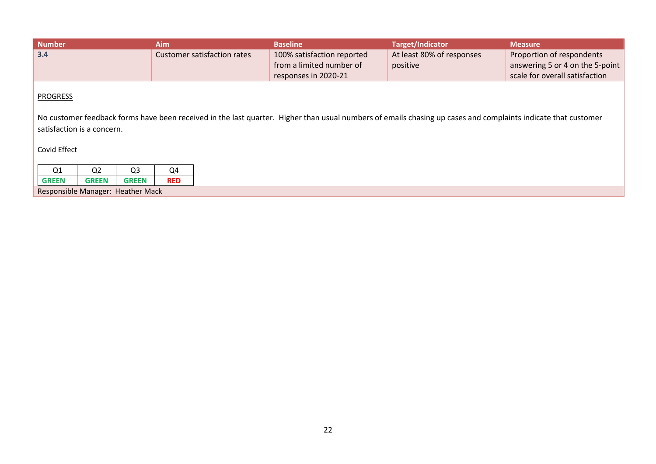| <b>Number</b> | Aim                         | <b>Baseline</b>            | Target/Indicator          | <b>Measure</b>                  |
|---------------|-----------------------------|----------------------------|---------------------------|---------------------------------|
| 3.4           | Customer satisfaction rates | 100% satisfaction reported | At least 80% of responses | Proportion of respondents       |
|               |                             | from a limited number of   | positive                  | answering 5 or 4 on the 5-point |
|               |                             | responses in 2020-21       |                           | scale for overall satisfaction  |

No customer feedback forms have been received in the last quarter. Higher than usual numbers of emails chasing up cases and complaints indicate that customer satisfaction is a concern.

Covid Effect

| <b>GREEN</b>                      | <b>GREEN</b> | <b>GREEN</b> | <b>RFD</b> |  |  |
|-----------------------------------|--------------|--------------|------------|--|--|
| Responsible Manager: Heather Mack |              |              |            |  |  |

22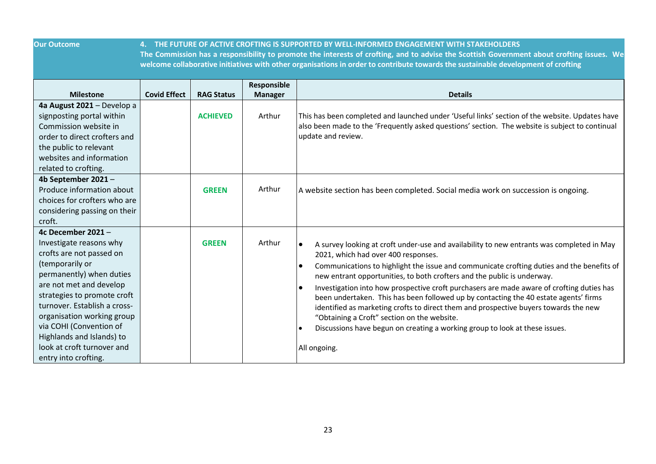**Our Outcome 4. THE FUTURE OF ACTIVE CROFTING IS SUPPORTED BY WELL-INFORMED ENGAGEMENT WITH STAKEHOLDERS**

**The Commission has a responsibility to promote the interests of crofting, and to advise the Scottish Government about crofting issues. We welcome collaborative initiatives with other organisations in order to contribute towards the sustainable development of crofting**

|                                                                                                                                                                                                                                                                                                                                                               |                     |                   | Responsible    |                                                                                                                                                                                                                                                                                                                                                                                                                                                                                                                                                                                                                                                                                                                                                                            |
|---------------------------------------------------------------------------------------------------------------------------------------------------------------------------------------------------------------------------------------------------------------------------------------------------------------------------------------------------------------|---------------------|-------------------|----------------|----------------------------------------------------------------------------------------------------------------------------------------------------------------------------------------------------------------------------------------------------------------------------------------------------------------------------------------------------------------------------------------------------------------------------------------------------------------------------------------------------------------------------------------------------------------------------------------------------------------------------------------------------------------------------------------------------------------------------------------------------------------------------|
| <b>Milestone</b>                                                                                                                                                                                                                                                                                                                                              | <b>Covid Effect</b> | <b>RAG Status</b> | <b>Manager</b> | <b>Details</b>                                                                                                                                                                                                                                                                                                                                                                                                                                                                                                                                                                                                                                                                                                                                                             |
| 4a August 2021 - Develop a<br>signposting portal within<br>Commission website in<br>order to direct crofters and<br>the public to relevant<br>websites and information<br>related to crofting.                                                                                                                                                                |                     | <b>ACHIEVED</b>   | Arthur         | This has been completed and launched under 'Useful links' section of the website. Updates have<br>also been made to the 'Frequently asked questions' section. The website is subject to continual<br>update and review.                                                                                                                                                                                                                                                                                                                                                                                                                                                                                                                                                    |
| 4b September 2021-<br>Produce information about<br>choices for crofters who are<br>considering passing on their<br>croft.                                                                                                                                                                                                                                     |                     | <b>GREEN</b>      | Arthur         | A website section has been completed. Social media work on succession is ongoing.                                                                                                                                                                                                                                                                                                                                                                                                                                                                                                                                                                                                                                                                                          |
| 4c December 2021-<br>Investigate reasons why<br>crofts are not passed on<br>(temporarily or<br>permanently) when duties<br>are not met and develop<br>strategies to promote croft<br>turnover. Establish a cross-<br>organisation working group<br>via COHI (Convention of<br>Highlands and Islands) to<br>look at croft turnover and<br>entry into crofting. |                     | <b>GREEN</b>      | Arthur         | A survey looking at croft under-use and availability to new entrants was completed in May<br>$\bullet$<br>2021, which had over 400 responses.<br>Communications to highlight the issue and communicate crofting duties and the benefits of<br>$\bullet$<br>new entrant opportunities, to both crofters and the public is underway.<br>Investigation into how prospective croft purchasers are made aware of crofting duties has<br>$\bullet$<br>been undertaken. This has been followed up by contacting the 40 estate agents' firms<br>identified as marketing crofts to direct them and prospective buyers towards the new<br>"Obtaining a Croft" section on the website.<br>Discussions have begun on creating a working group to look at these issues.<br>All ongoing. |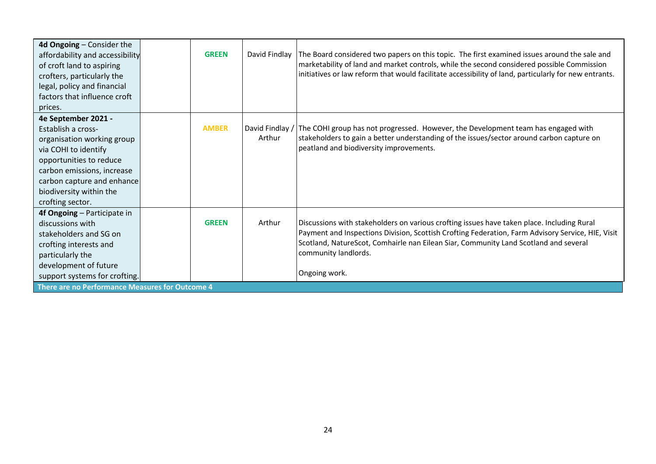| 4d Ongoing - Consider the<br>affordability and accessibility<br>of croft land to aspiring<br>crofters, particularly the<br>legal, policy and financial<br>factors that influence croft<br>prices.                                     | <b>GREEN</b> | David Findlay             | The Board considered two papers on this topic. The first examined issues around the sale and<br>marketability of land and market controls, while the second considered possible Commission<br>initiatives or law reform that would facilitate accessibility of land, particularly for new entrants.                              |
|---------------------------------------------------------------------------------------------------------------------------------------------------------------------------------------------------------------------------------------|--------------|---------------------------|----------------------------------------------------------------------------------------------------------------------------------------------------------------------------------------------------------------------------------------------------------------------------------------------------------------------------------|
| 4e September 2021 -<br>Establish a cross-<br>organisation working group<br>via COHI to identify<br>opportunities to reduce<br>carbon emissions, increase<br>carbon capture and enhance<br>biodiversity within the<br>crofting sector. | <b>AMBER</b> | David Findlay /<br>Arthur | The COHI group has not progressed. However, the Development team has engaged with<br>stakeholders to gain a better understanding of the issues/sector around carbon capture on<br>peatland and biodiversity improvements.                                                                                                        |
| 4f Ongoing - Participate in<br>discussions with<br>stakeholders and SG on<br>crofting interests and<br>particularly the<br>development of future<br>support systems for crofting.<br>There are no Performance Measures for Outcome 4  | <b>GREEN</b> | Arthur                    | Discussions with stakeholders on various crofting issues have taken place. Including Rural<br>Payment and Inspections Division, Scottish Crofting Federation, Farm Advisory Service, HIE, Visit<br>Scotland, NatureScot, Comhairle nan Eilean Siar, Community Land Scotland and several<br>community landlords.<br>Ongoing work. |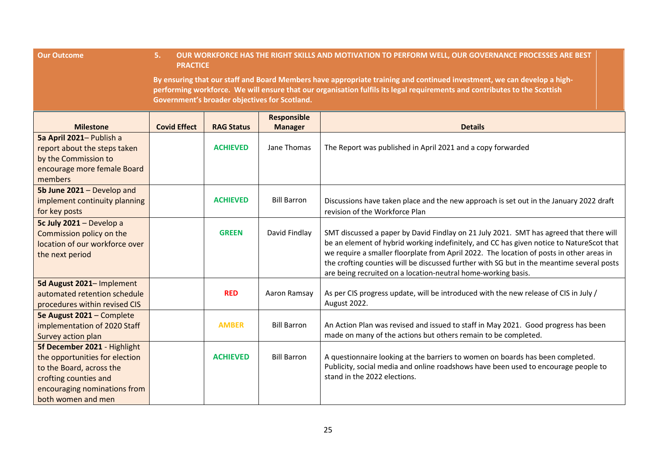| <b>Our Outcome</b>                                                                                                                                                        | OUR WORKFORCE HAS THE RIGHT SKILLS AND MOTIVATION TO PERFORM WELL, OUR GOVERNANCE PROCESSES ARE BEST<br>5.<br><b>PRACTICE</b>                                                                                                                                                                         |                   |                                      |                                                                                                                                                                                                                                                                                                                                                                                                                                              |  |  |  |
|---------------------------------------------------------------------------------------------------------------------------------------------------------------------------|-------------------------------------------------------------------------------------------------------------------------------------------------------------------------------------------------------------------------------------------------------------------------------------------------------|-------------------|--------------------------------------|----------------------------------------------------------------------------------------------------------------------------------------------------------------------------------------------------------------------------------------------------------------------------------------------------------------------------------------------------------------------------------------------------------------------------------------------|--|--|--|
|                                                                                                                                                                           | By ensuring that our staff and Board Members have appropriate training and continued investment, we can develop a high-<br>performing workforce. We will ensure that our organisation fulfils its legal requirements and contributes to the Scottish<br>Government's broader objectives for Scotland. |                   |                                      |                                                                                                                                                                                                                                                                                                                                                                                                                                              |  |  |  |
| <b>Milestone</b>                                                                                                                                                          | <b>Covid Effect</b>                                                                                                                                                                                                                                                                                   | <b>RAG Status</b> | <b>Responsible</b><br><b>Manager</b> | <b>Details</b>                                                                                                                                                                                                                                                                                                                                                                                                                               |  |  |  |
| 5a April 2021- Publish a<br>report about the steps taken<br>by the Commission to<br>encourage more female Board<br>members                                                |                                                                                                                                                                                                                                                                                                       | <b>ACHIEVED</b>   | Jane Thomas                          | The Report was published in April 2021 and a copy forwarded                                                                                                                                                                                                                                                                                                                                                                                  |  |  |  |
| 5b June 2021 - Develop and<br>implement continuity planning<br>for key posts                                                                                              |                                                                                                                                                                                                                                                                                                       | <b>ACHIEVED</b>   | <b>Bill Barron</b>                   | Discussions have taken place and the new approach is set out in the January 2022 draft<br>revision of the Workforce Plan                                                                                                                                                                                                                                                                                                                     |  |  |  |
| 5c July 2021 - Develop a<br>Commission policy on the<br>location of our workforce over<br>the next period                                                                 |                                                                                                                                                                                                                                                                                                       | <b>GREEN</b>      | David Findlay                        | SMT discussed a paper by David Findlay on 21 July 2021. SMT has agreed that there will<br>be an element of hybrid working indefinitely, and CC has given notice to NatureScot that<br>we require a smaller floorplate from April 2022. The location of posts in other areas in<br>the crofting counties will be discussed further with SG but in the meantime several posts<br>are being recruited on a location-neutral home-working basis. |  |  |  |
| 5d August 2021- Implement<br>automated retention schedule<br>procedures within revised CIS                                                                                |                                                                                                                                                                                                                                                                                                       | <b>RED</b>        | Aaron Ramsay                         | As per CIS progress update, will be introduced with the new release of CIS in July /<br>August 2022.                                                                                                                                                                                                                                                                                                                                         |  |  |  |
| 5e August 2021 - Complete<br>implementation of 2020 Staff<br>Survey action plan                                                                                           |                                                                                                                                                                                                                                                                                                       | <b>AMBER</b>      | <b>Bill Barron</b>                   | An Action Plan was revised and issued to staff in May 2021. Good progress has been<br>made on many of the actions but others remain to be completed.                                                                                                                                                                                                                                                                                         |  |  |  |
| 5f December 2021 - Highlight<br>the opportunities for election<br>to the Board, across the<br>crofting counties and<br>encouraging nominations from<br>both women and men |                                                                                                                                                                                                                                                                                                       | <b>ACHIEVED</b>   | <b>Bill Barron</b>                   | A questionnaire looking at the barriers to women on boards has been completed.<br>Publicity, social media and online roadshows have been used to encourage people to<br>stand in the 2022 elections.                                                                                                                                                                                                                                         |  |  |  |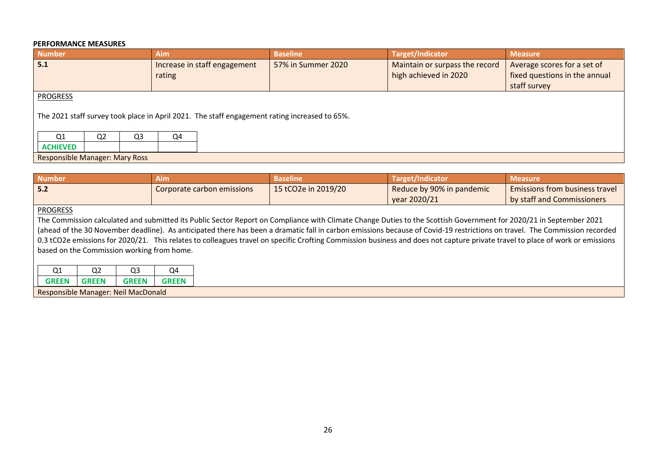### **PERFORMANCE MEASURES**

| <b>Number</b>                                                                                                    |                |                | <b>Aim</b>                             |  | <b>Baseline</b>    |  | <b>Target/Indicator</b>                                 | <b>Measure</b>                                                               |  |
|------------------------------------------------------------------------------------------------------------------|----------------|----------------|----------------------------------------|--|--------------------|--|---------------------------------------------------------|------------------------------------------------------------------------------|--|
| 5.1                                                                                                              |                |                | Increase in staff engagement<br>rating |  | 57% in Summer 2020 |  | Maintain or surpass the record<br>high achieved in 2020 | Average scores for a set of<br>fixed questions in the annual<br>staff survey |  |
| <b>PROGRESS</b><br>The 2021 staff survey took place in April 2021. The staff engagement rating increased to 65%. |                |                |                                        |  |                    |  |                                                         |                                                                              |  |
| Q1                                                                                                               | Q <sub>2</sub> | Q <sub>3</sub> | Q4                                     |  |                    |  |                                                         |                                                                              |  |
| <b>ACHIEVED</b>                                                                                                  |                |                |                                        |  |                    |  |                                                         |                                                                              |  |
| <b>Responsible Manager: Mary Ross</b>                                                                            |                |                |                                        |  |                    |  |                                                         |                                                                              |  |

| <b>Number</b>                                                                                                                                                                 | <b>Aim</b>                 | <b>Baseline</b>     | <b>Target/Indicator</b>   | <b>Measure</b>                        |  |  |  |  |
|-------------------------------------------------------------------------------------------------------------------------------------------------------------------------------|----------------------------|---------------------|---------------------------|---------------------------------------|--|--|--|--|
| 5.2                                                                                                                                                                           | Corporate carbon emissions | 15 tCO2e in 2019/20 | Reduce by 90% in pandemic | <b>Emissions from business travel</b> |  |  |  |  |
|                                                                                                                                                                               |                            |                     | year 2020/21              | by staff and Commissioners            |  |  |  |  |
| <b>PROGRESS</b>                                                                                                                                                               |                            |                     |                           |                                       |  |  |  |  |
| The Commission calculated and submitted its Public Sector Report on Compliance with Climate Change Duties to the Scottish Government for 2020/21 in September 2021            |                            |                     |                           |                                       |  |  |  |  |
| (ahead of the 30 November deadline). As anticipated there has been a dramatic fall in carbon emissions because of Covid-19 restrictions on travel. The Commission recorded    |                            |                     |                           |                                       |  |  |  |  |
| 0.3 tCO2e emissions for 2020/21. This relates to colleagues travel on specific Crofting Commission business and does not capture private travel to place of work or emissions |                            |                     |                           |                                       |  |  |  |  |
| based on the Commission working from home.                                                                                                                                    |                            |                     |                           |                                       |  |  |  |  |
|                                                                                                                                                                               |                            |                     |                           |                                       |  |  |  |  |

| Q <sub>1</sub> | $\sim$<br>u۷ | റാ<br>us                            | Q4           |
|----------------|--------------|-------------------------------------|--------------|
| <b>GREEN</b>   | GRFFN        | <b>GREEN</b>                        | <b>GREEN</b> |
|                |              | Responsible Manager: Neil MacDonald |              |